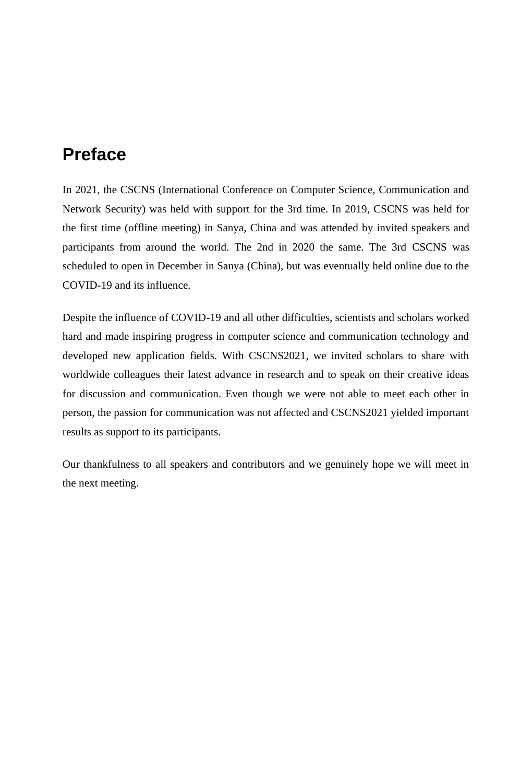# **Preface**

In 2021, the CSCNS (International Conference on Computer Science, Communication and Network Security) was held with support for the 3rd time. In 2019, CSCNS was held for the first time (offline meeting) in Sanya, China and was attended by invited speakers and participants from around the world. The 2nd in 2020 the same. The 3rd CSCNS was scheduled to open in December in Sanya (China), but was eventually held online due to the COVID-19 and its influence.

Despite the influence of COVID-19 and all other difficulties, scientists and scholars worked hard and made inspiring progress in computer science and communication technology and developed new application fields. With CSCNS2021, we invited scholars to share with worldwide colleagues their latest advance in research and to speak on their creative ideas for discussion and communication. Even though we were not able to meet each other in person, the passion for communication was not affected and CSCNS2021 yielded important results as support to its participants.

Our thankfulness to all speakers and contributors and we genuinely hope we will meet in the next meeting.